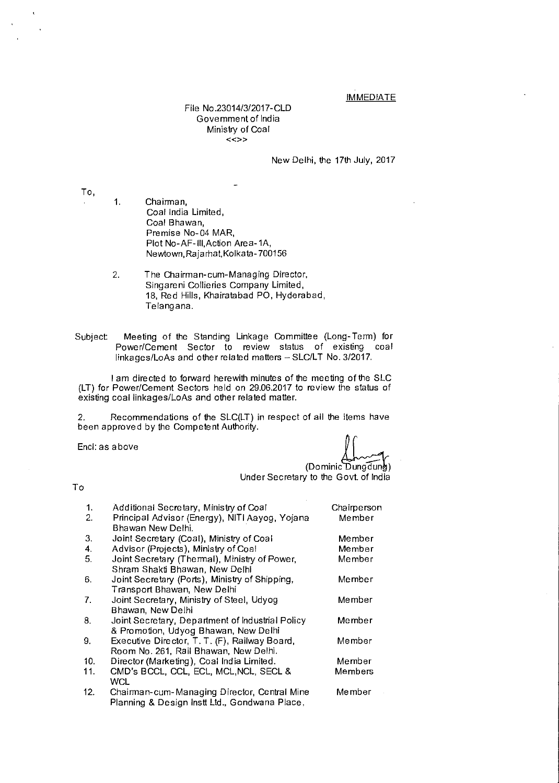### **IMMEDIATE**

File No.23014/3/2017-CLD Government of India Ministry of Coal  $\lt\lt\gt$ 

New Delhi, the 17th July, 2017

To,

- 1. Chairman, Coal India Limited, Coal Bhawan, Premise No-04 MAR, Plot No-AF-III,Action Area-1A, Newtown,Rajarhat,Kolkata- 700156
- 2. The Chairman-cum-Managing Director, Singareni Collieries Company Limited, 18, Red Hills, Khairatabad PO, Hyderabad, Telangana.
- Subject Meeting of the Standing Linkage Committee (Long-Term) for Power/Cement Sector to review status of existing coal linkages/LoAs and other related matters — SLC/LT No. 3/2017.

I am directed to forward herewith minutes of the meeting of the SLC (LT) for Power/Cement Sectors held on 29.06.2017 to review the status of existing coal linkages/LoAs and other related matter.

2. Recommendations of the SLC(LT) in respect of all the items have been approved by the Competent Authority.

Encl: as above

(Dominic Dungdung)

Under Secretary to the Govt of India

### To

| 1.  | Additional Secretary, Ministry of Coal                                                        | Chairperson |
|-----|-----------------------------------------------------------------------------------------------|-------------|
| 2.  | Principal Advisor (Energy), NITI Aayog, Yojana<br>Bhawan New Delhi.                           | Member      |
| 3.  | Joint Secretary (Coal), Ministry of Coal                                                      | Member      |
| 4.  | Advisor (Projects), Ministry of Coal                                                          | Member      |
| 5.  | Joint Secretary (Thermal), Ministry of Power,<br>Shram Shakti Bhawan, New Delhi               | Member      |
| 6.  | Joint Secretary (Ports), Ministry of Shipping,<br>Transport Bhawan, New Delhi                 | Member      |
| 7.  | Joint Secretary, Ministry of Steel, Udyog<br>Bhawan, New Delhi                                | Member      |
| 8.  | Joint Secretary, Department of Industrial Policy<br>& Promotion, Udyog Bhawan, New Delhi      | Member      |
| 9.  | Executive Director, T. T. (F), Railway Board,<br>Room No. 261, Rail Bhawan, New Delhi.        | Member      |
| 10. | Director (Marketing), Coal India Limited.                                                     | Member      |
| 11. | CMD's BCCL, CCL, ECL, MCL, NCL, SECL &<br>WCL                                                 | Members     |
| 12. | Chairman-cum-Managing Director, Central Mine<br>Planning & Design Instt Ltd., Gondwana Place, | Member      |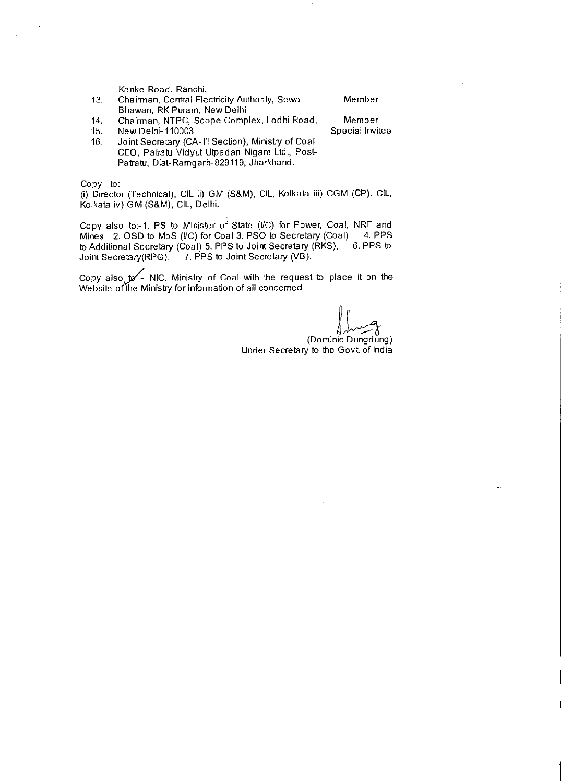Kanke Road, Ranchi.

- 13. Chairman, Central Electricity Authority, Sewa Member Bhawan, RK Puram, New Delhi
- 
- 14. Chairman, NTPC, Scope Complex, Lodhi Road, Member
- 
- 15. New Delhi-110003<br>16. Joint Secretary (CA-Ill Section), Ministry of Coal Joint Secretary (CA-III Section), Ministry of Coal CEO, Patratu Vidyut Utpadan Nigam Ltd., Post-Patratu, Dist-Ramgarh-829119, Jharkhand.

Copy to:

(i) Director (Technical), CIL ii) GM (S&M), CIL, Kolkata iii) CGM (CP), CIL, Kolkata iv) GM (S&M), CIL, Delhi.

Copy also to:-1. PS to Minister of State (I/C) for Power, Coal, NRE and Mines 2. OSD to MoS (I/C) for Coal 3. PSO to Secretary (Coal) 4. PPS Mines 2. OSD to MoS (*I/C*) for Coal 3. PSO to Secretary (Coal) 4. PPS to Additional Secretary (Coal) 5. PPS to Joint Secretary (RKS), 6. PPS to to Additional Secretary (Coal) 5. PPS to Joint Secretary (RKS), Joint Secretary(RPG), 7. PPS to Joint Secretary (VB).

Copy also  $\sqrt{s}$  NIC, Ministry of Coal with the request to place it on the Website of the Ministry for information of all concerned.

(Dominic Dungdung)

Under Secretary to the Govt of India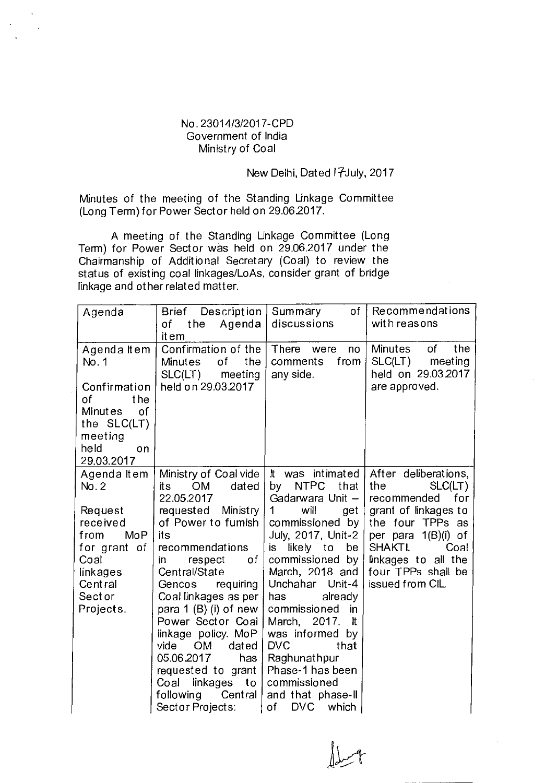## No. 23014/3/2017-CPD Government of India Ministry of Coal

## New Delhi, Dated 17July, 2017

Minutes of the meeting of the Standing Linkage Committee (Long Term) for Power Sector held on 29.06.2017.

A meeting of the Standing Linkage Committee (Long Term) for Power Sector was held on 29.062017 under the Chairmanship of Additional Secretary (Coal) to review the status of existing coal linkages/LoAs, consider grant of bridge linkage and other related matter.

| Agenda                                                                                                                       | Brief Description  <br>the<br>Agenda<br>of<br>it em                                                                                                                                                                                                                                                                                                                        | of<br>Summary<br>discussions                                                                                                                                                                                                                                                                                                                                       | Recommendations<br>with reasons                                                                                                                            |
|------------------------------------------------------------------------------------------------------------------------------|----------------------------------------------------------------------------------------------------------------------------------------------------------------------------------------------------------------------------------------------------------------------------------------------------------------------------------------------------------------------------|--------------------------------------------------------------------------------------------------------------------------------------------------------------------------------------------------------------------------------------------------------------------------------------------------------------------------------------------------------------------|------------------------------------------------------------------------------------------------------------------------------------------------------------|
| Agenda Item<br>No. 1<br>Confirmation                                                                                         | Confirmation of the<br>of<br><b>Minutes</b><br>the<br>SLC(LT)<br>meeting<br>held on 29.03.2017                                                                                                                                                                                                                                                                             | There<br>were<br>no<br>from<br>comments<br>any side.                                                                                                                                                                                                                                                                                                               | <b>Minutes</b><br>the<br>0f<br>SLC(LT)<br>meeting<br>held on 29.03.2017<br>are approved.                                                                   |
| the<br>of<br><b>Minutes</b><br>of<br>the SLC(LT)<br>meeting<br>held<br>on<br>29.03.2017                                      |                                                                                                                                                                                                                                                                                                                                                                            |                                                                                                                                                                                                                                                                                                                                                                    |                                                                                                                                                            |
| Agenda Item<br>No. 2                                                                                                         | Ministry of Coal vide<br><b>OM</b><br>dated<br>it s<br>22.05.2017                                                                                                                                                                                                                                                                                                          | It was intimated<br><b>NTPC</b><br>bγ<br>that<br>Gadarwara Unit -                                                                                                                                                                                                                                                                                                  | After deliberations,<br>the<br>SLC(LT)<br>recommended<br>for                                                                                               |
| Request<br>received<br>from<br>M <sub>0</sub> P<br>for grant of<br>Coal<br>linkages<br>Central<br><b>Sector</b><br>Projects. | requested Ministry<br>of Power to fumish<br>its<br>recommendations<br>respect<br>оf<br>in<br>Central/State<br>requiring<br>Gencos<br>Coal linkages as per<br>para 1 (B) (i) of new<br>Power Sector Coal<br>linkage policy. MoP<br>vide<br><b>OM</b><br>dated<br>05.06.2017<br>has<br>requested to grant<br>linkages to<br>Coal<br>Central<br>following<br>Sector Projects: | $\mathbf 1$<br>will<br>get<br>commissioned by<br>July, 2017, Unit-2<br>likely<br>to<br>be<br>İS.<br>commissioned by<br>March, 2018 and<br>Unchahar Unit-4<br>already<br>has<br>commissioned<br>in.<br>March, 2017.<br>h It<br>was informed by<br><b>DVC</b><br>that<br>Raghunathpur<br>Phase-1 has been<br>commissioned<br>and that phase-II<br>of<br>DVC<br>which | grant of linkages to<br>the four TPPs as<br>per para 1(B)(i) of<br><b>SHAKTI.</b><br>Coal<br>linkages to all the<br>four TPPs shall be<br>issued from CIL. |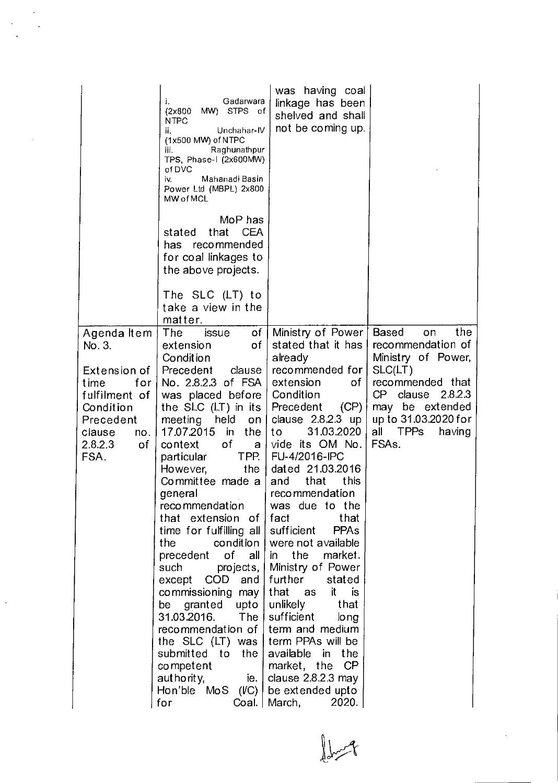|                                                                                                                  | Gadarwara<br>i.<br>MW) STPS of<br>(2x800)<br><b>NTPC</b><br>Unchahar-IV<br>ii.<br>(1x500 MW) of NTPC<br>Raghunathpur<br>iii.<br>TPS, Phase-I (2x600MW)<br>ofDVC<br>Mahanadi Basin<br>iv.<br>Power Ltd (MBPL) 2x800<br>MW of MCL<br>MoP has                                                                                                                                                                                                                                                                                                                                                                                                                                                                               | was having coal<br>linkage has been<br>shelved and shall<br>not be coming up.                                                                                                                                                                                                                                                                                                                                                                                                                   |                                                                                                                                         |
|------------------------------------------------------------------------------------------------------------------|--------------------------------------------------------------------------------------------------------------------------------------------------------------------------------------------------------------------------------------------------------------------------------------------------------------------------------------------------------------------------------------------------------------------------------------------------------------------------------------------------------------------------------------------------------------------------------------------------------------------------------------------------------------------------------------------------------------------------|-------------------------------------------------------------------------------------------------------------------------------------------------------------------------------------------------------------------------------------------------------------------------------------------------------------------------------------------------------------------------------------------------------------------------------------------------------------------------------------------------|-----------------------------------------------------------------------------------------------------------------------------------------|
|                                                                                                                  | that<br>CEA<br>stated<br>recommended<br>has.<br>for coal linkages to<br>the above projects.                                                                                                                                                                                                                                                                                                                                                                                                                                                                                                                                                                                                                              |                                                                                                                                                                                                                                                                                                                                                                                                                                                                                                 |                                                                                                                                         |
|                                                                                                                  | The SLC (LT) to<br>take a view in the<br>matter.                                                                                                                                                                                                                                                                                                                                                                                                                                                                                                                                                                                                                                                                         |                                                                                                                                                                                                                                                                                                                                                                                                                                                                                                 |                                                                                                                                         |
| Agenda Item<br>No. 3.                                                                                            | of<br>The<br>issue<br>of<br>extension<br>Condition                                                                                                                                                                                                                                                                                                                                                                                                                                                                                                                                                                                                                                                                       | Ministry of Power<br>stated that it has<br>already                                                                                                                                                                                                                                                                                                                                                                                                                                              | <b>Based</b><br>the<br>on<br>recommendation of<br>Ministry of Power,                                                                    |
| Extension of<br>for<br>time<br>fulfilment of<br>Condition<br>Precedent<br>clause<br>no.<br>2.8.2.3<br>of<br>FSA. | Precedent<br>clause<br>No. 2.8.2.3 of FSA<br>was placed before<br>the SLC $(LT)$ in its<br>held<br>meeting<br>on <sub>1</sub><br>17.07.2015<br>in<br>the<br>of<br>context<br>a l<br>TPP. I<br>particular<br>the<br>However,<br>Committee made a<br>general<br>recommendation<br>that extension of fact<br>time for fulfilling all sufficient<br>condition  <br>the<br>precedent<br>of<br>all  <br>projects,  <br>such<br>except $COD$ and<br>commissioning may<br>be granted upto<br>31.03.2016.<br>The $ $<br>recommendation of term and medium<br>the $SLC$ (LT) was   term PPAs will be<br>submitted to the available in the<br>competent<br>authority,<br>ie.<br>Hon'ble $MoS$ ( <i>IC</i> ) be extended upto<br>for | recommended for<br>extension<br>of<br>Condition<br>Precedent<br>(CP)<br>clause $2.8.2.3$ up<br>31.03.2020<br>to<br>vide its OM No.<br>FU-4/2016-IPC<br>dated 21.03.2016<br>this<br>that<br>and<br>recommendation<br>was due to the<br>that<br><b>PPA<sub>s</sub></b><br>were not available<br>the<br>market.<br>in<br>Ministry of Power<br>further<br>stated<br>that as<br>it is<br>unlikely<br>that<br>sufficient<br>long<br>market, the CP<br>clause $2.8.2.3$ may<br>Coal.   March,<br>2020. | SLC(LT)<br>recommended that<br>2823<br>CP clause<br>may be extended<br>up to 31.03.2020 for<br>all TPPs<br>having<br>FSA <sub>s</sub> . |

 $\bigcup_{i=1}^{n} \sum_{j=1}^{n} \frac{1}{j} \sum_{j=1}^{n} \frac{1}{j} \sum_{j=1}^{n} \frac{1}{j} \sum_{j=1}^{n} \frac{1}{j} \sum_{j=1}^{n} \frac{1}{j} \sum_{j=1}^{n} \frac{1}{j} \sum_{j=1}^{n} \frac{1}{j} \sum_{j=1}^{n} \frac{1}{j} \sum_{j=1}^{n} \frac{1}{j} \sum_{j=1}^{n} \frac{1}{j} \sum_{j=1}^{n} \frac{1}{j} \sum_{j=1}^{n} \frac{1}{j} \sum_{j=$ 

 $\frac{1}{\sqrt{2}}$ 

 $\cdot$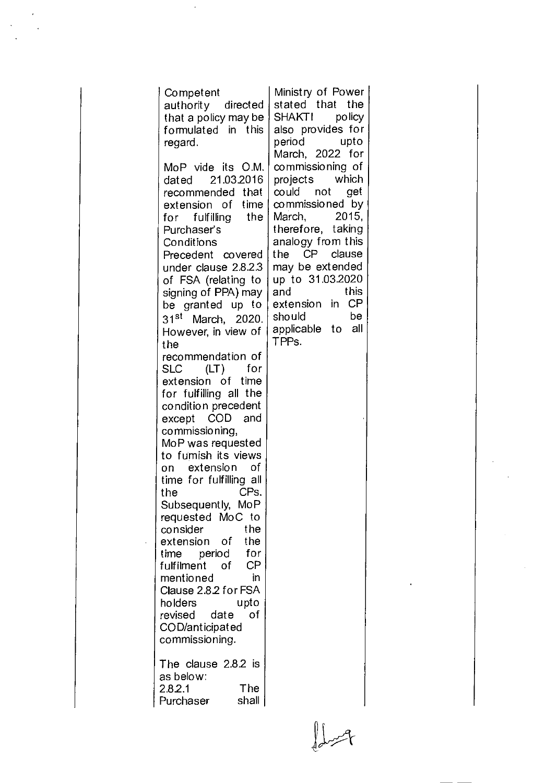| Competent<br>authority directed<br>that a policy may be<br>formulated in this<br>regard.<br>MoP vide its O.M.<br>dated 21.03.2016<br>recommended that<br>extension of time<br>for fulfilling the<br>Purchaser's<br>Conditions<br>Precedent covered<br>under clause 2.8.2.3<br>of FSA (relating to<br>signing of PPA) may<br>be granted up to<br>31 <sup>st</sup> March, 2020.<br>However, in view of<br>the<br>recommendation of<br>$(LT)$ for<br>SLC<br>extension of time<br>for fulfilling all the<br>condition precedent<br>except COD and<br>commissioning,<br>MoP was requested<br>to fumish its views<br>on extension<br>οf<br>time for fulfilling all<br>CPs.<br>the<br>Subsequently, MoP<br>requested MoC to<br>the<br>consider<br>extension of<br>the<br>time period<br>for<br>fulfilment<br>CP<br>of<br>mentioned<br>in<br>Clause 2.8.2 for FSA<br>upto<br>holders<br>revised<br>οf<br>date<br>COD/anticipated<br>commissioning. | Ministry of Power<br>stated that the<br>SHAKTI policy<br>also provides for<br>period upto<br>March, 2022 for<br>commissioning of<br>projects which<br>could not get<br>commissioned by<br>March, 2015,<br>therefore, taking<br>analogy from this<br>CP clause<br>the<br>may be extended<br>up to 31.03.2020<br>this<br>and<br>extension in CP<br>be<br>should<br>applicable to all<br>TPP <sub>S</sub> . |
|--------------------------------------------------------------------------------------------------------------------------------------------------------------------------------------------------------------------------------------------------------------------------------------------------------------------------------------------------------------------------------------------------------------------------------------------------------------------------------------------------------------------------------------------------------------------------------------------------------------------------------------------------------------------------------------------------------------------------------------------------------------------------------------------------------------------------------------------------------------------------------------------------------------------------------------------|----------------------------------------------------------------------------------------------------------------------------------------------------------------------------------------------------------------------------------------------------------------------------------------------------------------------------------------------------------------------------------------------------------|
| The clause 2.8.2 is<br>as below:<br>The<br>2.8.2.1<br>shall<br>Purchaser                                                                                                                                                                                                                                                                                                                                                                                                                                                                                                                                                                                                                                                                                                                                                                                                                                                                   |                                                                                                                                                                                                                                                                                                                                                                                                          |

 $\int d\omega$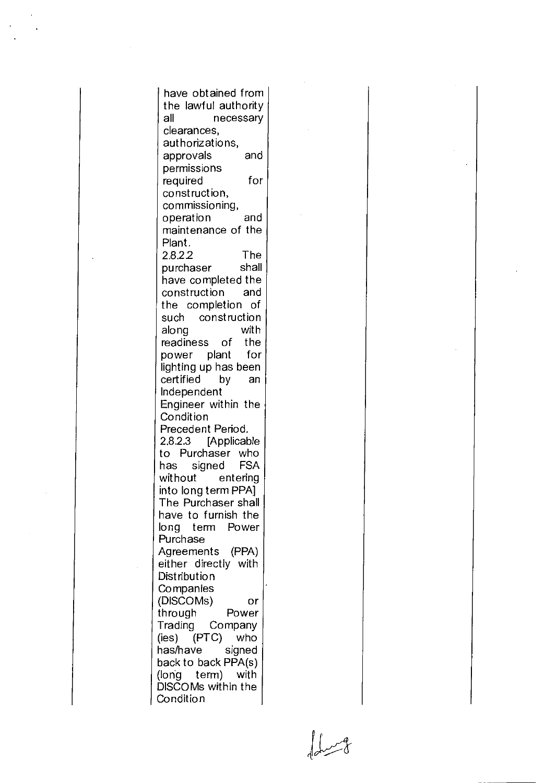have obtained from the lawful authority all necessary clearances, authorizations, approvals and permissions required for construction, commissioning, operation and maintenance of the Plant. 2.8.2.2 The<br>purchaser shall purchaser have completed the construction and the completion of such construction along with readiness of the power plant for lighting up has been certified by an Independent Engineer within the Condition Precedent Period. 2.8.2.3 [Applicable to Purchaser who has signed FSA without entering into long term PPA] The Purchaser shall have to furnish the long term Power Purchase Agreements (PPA) either directly with **Distribution Companies** (DISCOMs) or through Power Trading Company (ies) (PTC) who<br>has/have signed has/have back to back PPA(s) (long term) with DISCOMs within the Condition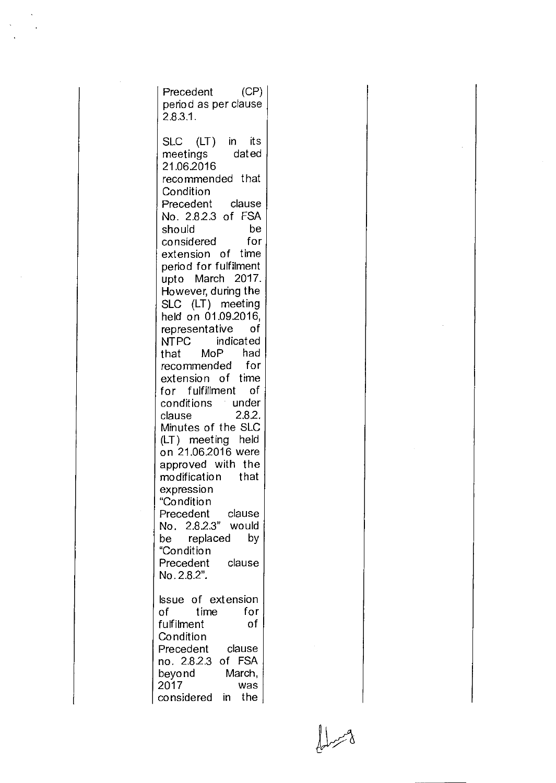Precedent (CP) period as per clause 2.83.1. SLC (LT) in its<br>meetings dated meetings 21.062016 recommended that **Condition** Precedent clause No. 2.823 of FSA should considered for extension of time period for fulfilment upto March 2017. However, during the SLC (LT) meeting held on 01.09.2016, representative of NTPC indicated<br>that MoP had that MoP recommended for extension of time for fulfillment of conditions under<br>clause 2.8.2. clause Minutes of the SLC (LT) meeting held on 21.062016 were approved with the modification that expression "Condition Precedent clause No. 2.82.3" would be replaced by "Condition Precedent clause No. 2.8.2". Issue of extension of time for fulfilment **Condition** Precedent clause no. 2.82.3 of FSA beyond March, 2017 was considered in the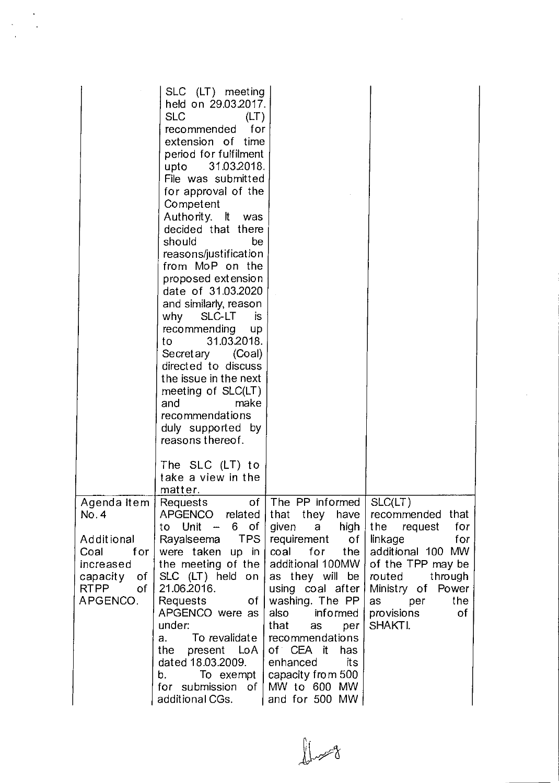|                                                                                                                            | SLC (LT) meeting<br>held on 29.03.2017.<br><b>SLC</b><br>(LT)<br>for<br>recommended<br>extension of time<br>period for fulfilment<br>upto 31.03.2018.<br>File was submitted<br>for approval of the<br>Competent<br>Authority. It was<br>decided that there<br>should<br>be<br>reasons/justification<br>from MoP on the<br>proposed extension<br>date of 31.03.2020<br>and similarly, reason<br>why<br>SLC-LT<br><b>is</b><br>recommending up<br>31.03.2018.<br>to to<br>Secretary (Coal)<br>directed to discuss<br>the issue in the next<br>meeting of SLC(LT)<br>make<br>and<br>recommendations<br>duly supported by<br>reasons thereof. |                                                                                                                                                                                                                                                                                              |                                                                                                                                                                                                                                                                                                                                                                                                                                                               |
|----------------------------------------------------------------------------------------------------------------------------|-------------------------------------------------------------------------------------------------------------------------------------------------------------------------------------------------------------------------------------------------------------------------------------------------------------------------------------------------------------------------------------------------------------------------------------------------------------------------------------------------------------------------------------------------------------------------------------------------------------------------------------------|----------------------------------------------------------------------------------------------------------------------------------------------------------------------------------------------------------------------------------------------------------------------------------------------|---------------------------------------------------------------------------------------------------------------------------------------------------------------------------------------------------------------------------------------------------------------------------------------------------------------------------------------------------------------------------------------------------------------------------------------------------------------|
|                                                                                                                            | The SLC (LT) to<br>take a view in the<br>matter.                                                                                                                                                                                                                                                                                                                                                                                                                                                                                                                                                                                          |                                                                                                                                                                                                                                                                                              |                                                                                                                                                                                                                                                                                                                                                                                                                                                               |
| Agenda Item  <br>No. 4<br>Additional<br>Coal<br>for $ $<br>increased<br>$capacity$ of $ $<br><b>RTPP</b><br>of<br>APGENCO. | of<br>Requests<br>to Unit $-6$ of<br>Rayalseema TPS<br>were taken up in<br>the meeting of the<br>SLC (LT) held on<br>21.06.2016.<br>Requests<br>$\mathsf{of}$<br>APGENCO were as<br>under:<br>To revalidate  <br>а.<br>the present $LoA$<br>dated 18.03.2009.<br>b. To exempt $\vert$<br>for submission of<br>additional CGs.                                                                                                                                                                                                                                                                                                             | The PP informed   SLC(LT)<br>$requirement$ of<br>coal for the<br>additional 100MW<br>as they will be<br>using coal after<br>washing. The PP<br>also informed<br>that as<br>per<br>recommendations<br>of CEA it<br>has<br>enhanced its<br>capacity from 500<br>MW to 600 MW<br>and for 500 MW | APGENCO related that they have recommended that<br>given a high the request for<br>linkage in the season of the season of the season of the season of the season of the season of the season of the season of the season of the season of the season of the season of the season of the season of the season of th<br>for<br>additional 100 MW<br>of the TPP may be<br>through<br>routed<br>Ministry of Power<br>the<br>as per<br>provisions<br>оf<br>SHAKTI. |

 $\bar{\bar{z}}$ 

 $\int \frac{1}{\sqrt{2}}$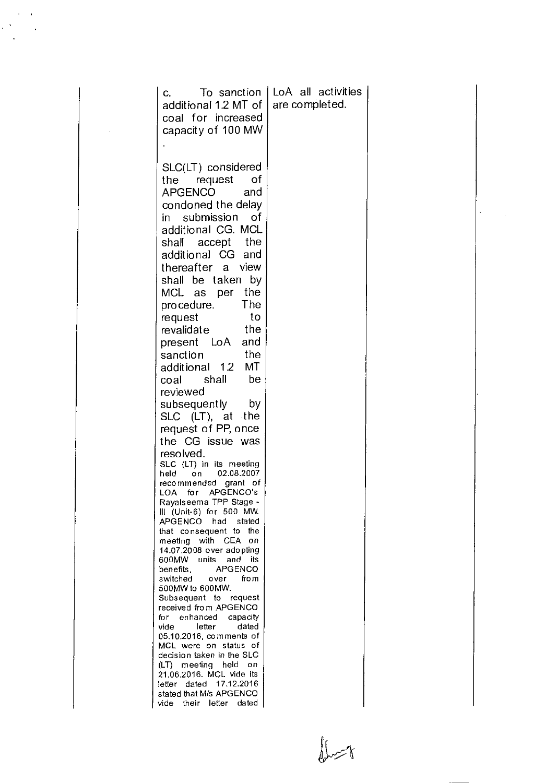| C.<br>additional 1.2 MT of<br>coal for increased<br>capacity of 100 MW                                                                                                                                                                                                                                                                                                                                                                                                                                                                                                                                                                                                                                                                                                                                                                                                                        | To sanction                                                                                                                                                                                                                                                        | LoA all activities<br>are completed. |
|-----------------------------------------------------------------------------------------------------------------------------------------------------------------------------------------------------------------------------------------------------------------------------------------------------------------------------------------------------------------------------------------------------------------------------------------------------------------------------------------------------------------------------------------------------------------------------------------------------------------------------------------------------------------------------------------------------------------------------------------------------------------------------------------------------------------------------------------------------------------------------------------------|--------------------------------------------------------------------------------------------------------------------------------------------------------------------------------------------------------------------------------------------------------------------|--------------------------------------|
| SLC(LT) considered<br>request<br>the<br><b>APGENCO</b><br>condoned the delay<br>submission<br>in<br>additional CG. MCL<br>accept<br>shall<br>additional CG and<br>thereafter<br>shall be taken<br>MCL as<br>procedure.<br>request<br>revalidate<br>LoA<br>present<br>sanction<br>additional 1.2<br>coal shall<br>reviewed<br>subsequently<br>SLC (LT), at the<br>request of PP, once<br>the CG issue was<br>resolved.<br>SLC (LT) in its meeting<br>held<br>on<br>recommended<br>for<br>LOA<br>Rayalseema TPP Stage -<br>III (Unit-6) for 500 MW.<br>APGENCO<br>had<br>that consequent<br>meeting with CEA<br>14.07.2008 over adopting<br>units<br>600MW .<br>benefits.<br>switched<br>500MW to 600MW.<br>Subsequent to request<br>received from APGENCO<br>for enhanced<br>letter<br>vide<br>05.10.2016, comments of<br>MCL were on status<br>decision taken in the SLC<br>(LT) meeting held | of<br>and<br>of<br>the<br>view<br>a<br>bγ<br>the<br>per<br>The<br>to<br>the<br>and<br>the<br>MT<br>be<br>bγ<br>02.08.2007<br>grant of<br>APGENCO's<br>stated<br>the<br>to<br>on<br>and<br>its<br><b>APGENCO</b><br>fro m<br>over<br>capacity<br>dated<br>οf<br>-on |                                      |
| 21.06.2016. MCL vide its<br>dated<br>letter<br>stated that M/s APGENCO<br>vide                                                                                                                                                                                                                                                                                                                                                                                                                                                                                                                                                                                                                                                                                                                                                                                                                | 17.12.2016<br>their letter dated                                                                                                                                                                                                                                   |                                      |

 $\bigcup_{i=1}^n\bigcup_{j=1}^n\bigcup_{j=1}^n\bigcup_{j=1}^n\bigcup_{j=1}^n\bigcup_{j=1}^n\bigcup_{j=1}^n\bigcup_{j=1}^n\bigcup_{j=1}^n\bigcup_{j=1}^n\bigcup_{j=1}^n\bigcup_{j=1}^n\bigcup_{j=1}^n\bigcup_{j=1}^n\bigcup_{j=1}^n\bigcup_{j=1}^n\bigcup_{j=1}^n\bigcup_{j=1}^n\bigcup_{j=1}^n\bigcup_{j=1}^n\bigcup_{j=1}^n\bigcup_{j=1}^n$ 

 $\ddot{\phantom{0}}$ 

 $\mathcal{O}(\frac{1}{\epsilon})$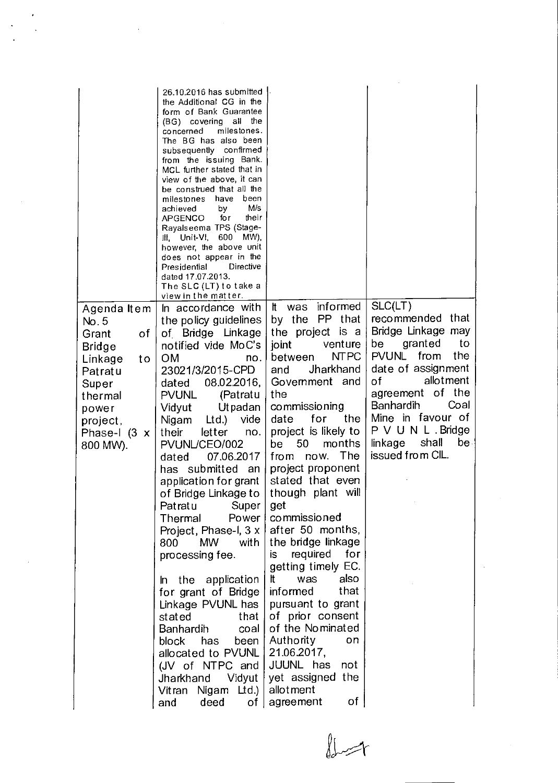|                                                                                                                                                               | 26.10.2016 has submitted  <br>the Additional CG in the<br>form of Bank Guarantee<br>(BG) covering all the<br>milestones.<br>concerned<br>The BG has also been<br>subsequently confirmed<br>from the issuing Bank.<br>MCL further stated that in<br>view of the above, it can<br>be construed that all the<br>have<br>been<br>milestones<br>M/s<br>achieved<br>by<br>their<br>for<br>APGENCO<br>Rayalseema TPS (Stage-<br>III, Unit-VI, 600 MW),<br>however, the above unit<br>does not appear in the<br>Presidential<br>Directive<br>dated 17.07.2013.<br>The SLC (LT) to take a<br>view in the matter. |                                                                                                                                                                                                                                                                                   |                                                                                                                                                                                                                                                                                    |
|---------------------------------------------------------------------------------------------------------------------------------------------------------------|---------------------------------------------------------------------------------------------------------------------------------------------------------------------------------------------------------------------------------------------------------------------------------------------------------------------------------------------------------------------------------------------------------------------------------------------------------------------------------------------------------------------------------------------------------------------------------------------------------|-----------------------------------------------------------------------------------------------------------------------------------------------------------------------------------------------------------------------------------------------------------------------------------|------------------------------------------------------------------------------------------------------------------------------------------------------------------------------------------------------------------------------------------------------------------------------------|
| Agenda Item<br>No. 5<br>оf<br>Grant<br><b>Bridge</b><br>Linkage<br>t o<br>Patratu<br>Super<br>thermal<br>power<br>project,<br>Phase-I $(3 \times$<br>800 MW). | In accordance with<br>the policy guidelines<br>of Bridge Linkage<br>notified vide MoC's<br><b>OM</b><br>no.<br>23021/3/2015-CPD<br>08.02.2016,<br>dated<br><b>PVUNL</b><br>(Patratu<br><b>Utpadan</b><br>Vidyut<br>Ltd.)<br>vide<br>Nigam<br>letter<br>their<br>no.<br>PVUNL/CEO/002<br>07.06.2017<br>dated<br>has submitted<br>an                                                                                                                                                                                                                                                                      | It was informed<br>by the PP that<br>the project is a<br>venture<br>joint<br><b>NTPC</b><br>between<br>Jharkhand<br>and<br>Government and<br>the<br>commissioning<br>the<br>date<br>for<br>project is likely to<br>50<br>months<br>be<br>The<br>now.<br>from<br>project proponent | SLC(LT)<br>recommended that<br>Bridge Linkage may<br>granted<br>to<br>be<br><b>PVUNL</b><br>from<br>the<br>date of assignment<br>allotment<br>of<br>agreement of the<br>Coal<br>Banhardih<br>Mine in favour of<br>P V U N L . Bridge<br>shall<br>linkage<br>be<br>issued from CIL. |
|                                                                                                                                                               | application for grant  <br>of Bridge Linkage to  <br>Patratu Super<br>Thermal<br>Power<br>Project, Phase-I, 3 x<br>with<br>800<br><b>MW</b><br>processing fee.<br>In the application                                                                                                                                                                                                                                                                                                                                                                                                                    | stated that even<br>though plant will<br>get<br>commissioned<br>after 50 months,<br>the bridge linkage<br>required<br>for<br>is.<br>getting timely EC.<br>It<br>was<br>also                                                                                                       |                                                                                                                                                                                                                                                                                    |
|                                                                                                                                                               | for grant of Bridge<br>Linkage PVUNL has<br>stated<br>that<br><b>Banhardih</b><br>coal<br>been<br>block has<br>allocated to PVUNL<br>(JV of NTPC and<br>Jharkhand<br>Vidyut<br>Vitran Nigam Ltd.)<br>deed<br>and                                                                                                                                                                                                                                                                                                                                                                                        | that<br>informed<br>pursuant to grant<br>of prior consent<br>of the Nominated<br>Authority<br>on<br>21.06.2017,<br>JUUNL has not<br>yet assigned the<br>allotment<br>оf<br>of   agreement                                                                                         |                                                                                                                                                                                                                                                                                    |

 $\int_{\mathcal{C}} \int_{\mathcal{C}}$ 

 $\sim$   $\sim$ 

 $\frac{1}{\sqrt{2}}\sum_{i=1}^{n} \frac{1}{\sqrt{2}} \left( \frac{1}{\sqrt{2}} \right)^{2} \left( \frac{1}{\sqrt{2}} \right)^{2}$ 

 $\label{eq:2.1} \frac{1}{\sqrt{2\pi}}\int_{\mathbb{R}^3}\frac{1}{\sqrt{2\pi}}\int_{\mathbb{R}^3}\frac{1}{\sqrt{2\pi}}\int_{\mathbb{R}^3}\frac{1}{\sqrt{2\pi}}\int_{\mathbb{R}^3}\frac{1}{\sqrt{2\pi}}\int_{\mathbb{R}^3}\frac{1}{\sqrt{2\pi}}\frac{1}{\sqrt{2\pi}}\frac{1}{\sqrt{2\pi}}\frac{1}{\sqrt{2\pi}}\frac{1}{\sqrt{2\pi}}\frac{1}{\sqrt{2\pi}}\frac{1}{\sqrt{2\pi}}\frac{1}{\sqrt{2\pi}}$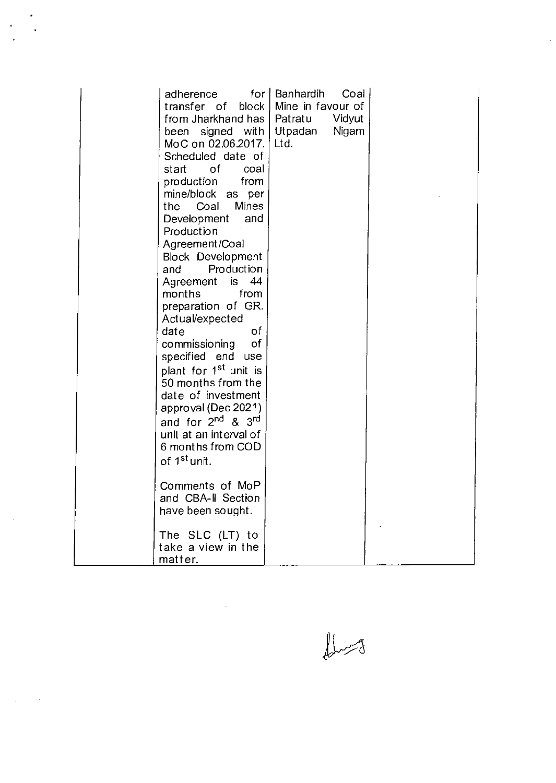| adherence                                                                                                                        | for   Banhardih<br>Coal   |  |
|----------------------------------------------------------------------------------------------------------------------------------|---------------------------|--|
| transfer of                                                                                                                      | block   Mine in favour of |  |
| from Jharkhand has   Patratu                                                                                                     | Vidyut                    |  |
| been signed with                                                                                                                 | Utpadan<br>Nigam          |  |
| MoC on 02.06.2017.                                                                                                               | Ltd.                      |  |
| Scheduled date of                                                                                                                |                           |  |
| of the contract of the contract of the contract of the contract of the contract of the contract of the contract<br>start<br>coal |                           |  |
| production<br>from                                                                                                               |                           |  |
| mine/block as per                                                                                                                |                           |  |
| Coal<br><b>Mines</b><br>the                                                                                                      |                           |  |
| Development<br>and                                                                                                               |                           |  |
| Production                                                                                                                       |                           |  |
| Agreement/Coal                                                                                                                   |                           |  |
| <b>Block Development</b>                                                                                                         |                           |  |
| Production<br>and                                                                                                                |                           |  |
| 44<br>Agreement<br>is.                                                                                                           |                           |  |
| months<br>from                                                                                                                   |                           |  |
| preparation of GR.                                                                                                               |                           |  |
| Actual/expected                                                                                                                  |                           |  |
| of<br>date                                                                                                                       |                           |  |
| of<br>commissioning                                                                                                              |                           |  |
| specified end use                                                                                                                |                           |  |
| plant for 1 <sup>st</sup> unit is                                                                                                |                           |  |
| 50 months from the                                                                                                               |                           |  |
| date of investment                                                                                                               |                           |  |
| approval (Dec 2021)                                                                                                              |                           |  |
| and for 2 <sup>nd</sup> & 3 <sup>rd</sup>                                                                                        |                           |  |
| unit at an interval of                                                                                                           |                           |  |
| 6 months from COD                                                                                                                |                           |  |
| of 1 <sup>st</sup> unit.                                                                                                         |                           |  |
|                                                                                                                                  |                           |  |
| Comments of MoP                                                                                                                  |                           |  |
| and CBA-II Section                                                                                                               |                           |  |
| have been sought.                                                                                                                |                           |  |
|                                                                                                                                  |                           |  |
| The SLC (LT) to                                                                                                                  |                           |  |
| take a view in the                                                                                                               |                           |  |
| matter.                                                                                                                          |                           |  |

 $\mathcal{L}^{\text{max}}_{\text{max}}$  , where  $\mathcal{L}^{\text{max}}_{\text{max}}$ 

 $\ddot{\phantom{0}}$ 

 $\hat{C}$ 

 $\mathcal{A}$ 

 $\bigcup_{\alpha\in\mathcal{A}}$